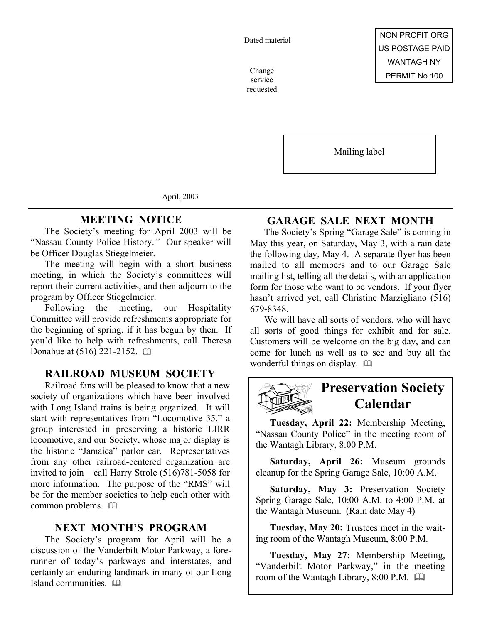Dated material

service requested

Mailing label

April, 2003

## **MEETING NOTICE**

The Society's meeting for April 2003 will be "Nassau County Police History.*"* Our speaker will be Officer Douglas Stiegelmeier.

The meeting will begin with a short business meeting, in which the Society's committees will report their current activities, and then adjourn to the program by Officer Stiegelmeier.

Following the meeting, our Hospitality Committee will provide refreshments appropriate for the beginning of spring, if it has begun by then. If you'd like to help with refreshments, call Theresa Donahue at (516) 221-2152. [12]

# **RAILROAD MUSEUM SOCIETY**

Railroad fans will be pleased to know that a new society of organizations which have been involved with Long Island trains is being organized. It will start with representatives from "Locomotive 35," a group interested in preserving a historic LIRR locomotive, and our Society, whose major display is the historic "Jamaica" parlor car. Representatives from any other railroad-centered organization are invited to join – call Harry Strole (516)781-5058 for more information. The purpose of the "RMS" will be for the member societies to help each other with common problems.  $\square$ 

### **NEXT MONTH'S PROGRAM**

The Society's program for April will be a discussion of the Vanderbilt Motor Parkway, a forerunner of today's parkways and interstates, and certainly an enduring landmark in many of our Long Island communities. 

# **GARAGE SALE NEXT MONTH**

The Society's Spring "Garage Sale" is coming in May this year, on Saturday, May 3, with a rain date the following day, May 4. A separate flyer has been mailed to all members and to our Garage Sale mailing list, telling all the details, with an application form for those who want to be vendors. If your flyer hasn't arrived yet, call Christine Marzigliano (516) 679-8348.

We will have all sorts of vendors, who will have all sorts of good things for exhibit and for sale. Customers will be welcome on the big day, and can come for lunch as well as to see and buy all the wonderful things on display.  $\square$ 



# **Preservation Society Calendar**

**Tuesday, April 22:** Membership Meeting, "Nassau County Police" in the meeting room of the Wantagh Library, 8:00 P.M.

**Saturday, April 26:** Museum grounds cleanup for the Spring Garage Sale, 10:00 A.M.

**Saturday, May 3:** Preservation Society Spring Garage Sale, 10:00 A.M. to 4:00 P.M. at the Wantagh Museum. (Rain date May 4)

**Tuesday, May 20:** Trustees meet in the waiting room of the Wantagh Museum, 8:00 P.M.

**Tuesday, May 27:** Membership Meeting, "Vanderbilt Motor Parkway," in the meeting room of the Wantagh Library, 8:00 P.M.  $\Box$